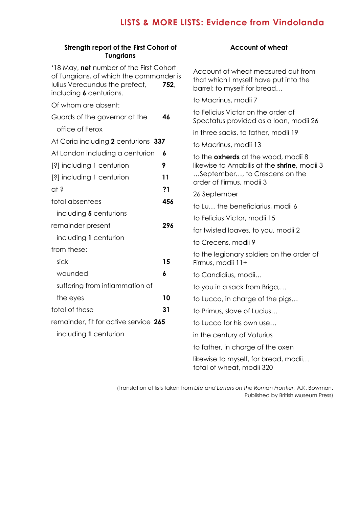## **LISTS & MORE LISTS: Evidence from Vindolanda**

| Strength report of the First Cohort of<br><b>Tungrians</b>                                                                                              |                                                                                                             | <b>Account of wheat</b>                                                                                    |
|---------------------------------------------------------------------------------------------------------------------------------------------------------|-------------------------------------------------------------------------------------------------------------|------------------------------------------------------------------------------------------------------------|
| '18 May, net number of the First Cohort<br>of Tungrians, of which the commander is<br>Iulius Verecundus the prefect,<br>752.<br>including 6 centurions. |                                                                                                             | Account of wheat measured out from<br>that which I myself have put into the<br>barrel: to myself for bread |
| Of whom are absent:                                                                                                                                     |                                                                                                             | to Macrinus, modii 7                                                                                       |
| Guards of the governor at the                                                                                                                           | 46                                                                                                          | to Felicius Victor on the order of<br>Spectatus provided as a loan, modii 26                               |
| office of Ferox                                                                                                                                         |                                                                                                             | in three sacks, to father, modii 19                                                                        |
| At Coria including 2 centurions 337                                                                                                                     |                                                                                                             | to Macrinus, modii 13                                                                                      |
| At London including a centurion                                                                                                                         | 6<br>to the <b>oxherds</b> at the wood, modii 8<br>likewise to Amabilis at the <b>shrine</b> , modii 3<br>9 |                                                                                                            |
| [?] including 1 centurion                                                                                                                               |                                                                                                             |                                                                                                            |
| [?] including 1 centurion                                                                                                                               | 11                                                                                                          | September, to Crescens on the<br>order of Firmus, modii 3                                                  |
| at ?                                                                                                                                                    | ?1<br>456<br>296                                                                                            | 26 September                                                                                               |
| total absentees                                                                                                                                         |                                                                                                             | to Lu the beneficiarius, modii 6                                                                           |
| including 5 centurions                                                                                                                                  |                                                                                                             | to Felicius Victor, modii 15                                                                               |
| remainder present                                                                                                                                       |                                                                                                             | for twisted loaves, to you, modii 2                                                                        |
| including 1 centurion                                                                                                                                   |                                                                                                             | to Crecens, modii 9                                                                                        |
| from these:                                                                                                                                             |                                                                                                             | to the legionary soldiers on the order of                                                                  |
| sick                                                                                                                                                    | 15                                                                                                          | Firmus, modii 11+                                                                                          |
| wounded                                                                                                                                                 | 6                                                                                                           | to Candidius, modii                                                                                        |
| suffering from inflammation of                                                                                                                          |                                                                                                             | to you in a sack from Briga,                                                                               |
| the eyes                                                                                                                                                | 10                                                                                                          | to Lucco, in charge of the pigs                                                                            |
| total of these                                                                                                                                          | 31                                                                                                          | to Primus, slave of Lucius                                                                                 |
| remainder, fit for active service 265                                                                                                                   |                                                                                                             | to Lucco for his own use                                                                                   |
| including 1 centurion                                                                                                                                   |                                                                                                             | in the century of Voturius                                                                                 |
|                                                                                                                                                         |                                                                                                             | to father, in charge of the oxen                                                                           |

## **eat**

(Translation of lists taken from *Life and Letters on the Roman Frontier,* A.K. Bowman. Published by British Museum Press)

total of wheat, modii 320

likewise to myself, for bread, modii…